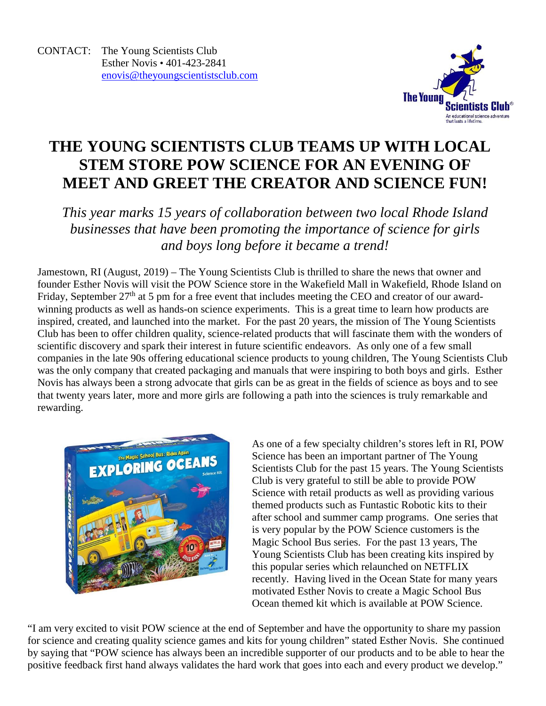

## **THE YOUNG SCIENTISTS CLUB TEAMS UP WITH LOCAL STEM STORE POW SCIENCE FOR AN EVENING OF MEET AND GREET THE CREATOR AND SCIENCE FUN!**

*This year marks 15 years of collaboration between two local Rhode Island businesses that have been promoting the importance of science for girls and boys long before it became a trend!*

Jamestown, RI (August, 2019) – The Young Scientists Club is thrilled to share the news that owner and founder Esther Novis will visit the POW Science store in the Wakefield Mall in Wakefield, Rhode Island on Friday, September 27<sup>th</sup> at 5 pm for a free event that includes meeting the CEO and creator of our awardwinning products as well as hands-on science experiments. This is a great time to learn how products are inspired, created, and launched into the market. For the past 20 years, the mission of The Young Scientists Club has been to offer children quality, science-related products that will fascinate them with the wonders of scientific discovery and spark their interest in future scientific endeavors. As only one of a few small companies in the late 90s offering educational science products to young children, The Young Scientists Club was the only company that created packaging and manuals that were inspiring to both boys and girls. Esther Novis has always been a strong advocate that girls can be as great in the fields of science as boys and to see that twenty years later, more and more girls are following a path into the sciences is truly remarkable and rewarding.



As one of a few specialty children's stores left in RI, POW Science has been an important partner of The Young Scientists Club for the past 15 years. The Young Scientists Club is very grateful to still be able to provide POW Science with retail products as well as providing various themed products such as Funtastic Robotic kits to their after school and summer camp programs. One series that is very popular by the POW Science customers is the Magic School Bus series. For the past 13 years, The Young Scientists Club has been creating kits inspired by this popular series which relaunched on NETFLIX recently. Having lived in the Ocean State for many years motivated Esther Novis to create a Magic School Bus Ocean themed kit which is available at POW Science.

"I am very excited to visit POW science at the end of September and have the opportunity to share my passion for science and creating quality science games and kits for young children" stated Esther Novis. She continued by saying that "POW science has always been an incredible supporter of our products and to be able to hear the positive feedback first hand always validates the hard work that goes into each and every product we develop."